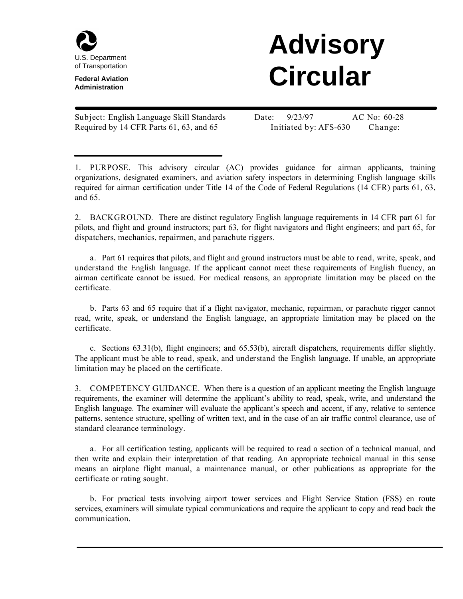

**Federal Aviation Administration**

## **Advisory Circular**

**Subject:** English Language Skill Standards **Date:** 9/23/97 **AC No:** 60-28 Required by 14 CFR Parts 61, 63, and 65 **Initiated by:** AFS-630 **Change:**

**1. PURPOSE.** This advisory circular (AC) provides guidance for airman applicants, training organizations, designated examiners, and aviation safety inspectors in determining English language skills required for airman certification under Title 14 of the Code of Federal Regulations (14 CFR) parts 61, 63, and 65.

**2. BACKGROUND.** There are distinct regulatory English language requirements in 14 CFR part 61 for pilots, and flight and ground instructors; part 63, for flight navigators and flight engineers; and part 65, for dispatchers, mechanics, repairmen, and parachute riggers.

**a.** Part 61 requires that pilots, and flight and ground instructors must be able to **read**, **write**, **speak**, and **understand** the English language. If the applicant cannot meet these requirements of English fluency, an airman certificate cannot be issued. For medical reasons, an appropriate limitation may be placed on the certificate.

**b.** Parts 63 and 65 require that if a flight navigator, mechanic, repairman, or parachute rigger cannot read, write, speak, or understand the English language, an appropriate limitation may be placed on the certificate.

**c.** Sections 63.31(b), flight engineers; and 65.53(b), aircraft dispatchers, requirements differ slightly. The applicant must be able to **read**, **speak**, and **understand** the English language. If unable, an appropriate limitation may be placed on the certificate.

**3. COMPETENCY GUIDANCE.** When there is a question of an applicant meeting the English language requirements, the examiner will determine the applicant's ability to read, speak, write, and understand the English language. The examiner will evaluate the applicant's speech and accent, if any, relative to sentence patterns, sentence structure, spelling of written text, and in the case of an air traffic control clearance, use of standard clearance terminology.

**a.** For all certification testing, applicants will be required to read a section of a technical manual, and then write and explain their interpretation of that reading. An appropriate technical manual in this sense means an airplane flight manual, a maintenance manual, or other publications as appropriate for the certificate or rating sought.

**b.** For practical tests involving airport tower services and Flight Service Station (FSS) en route services, examiners will simulate typical communications and require the applicant to copy and read back the communication.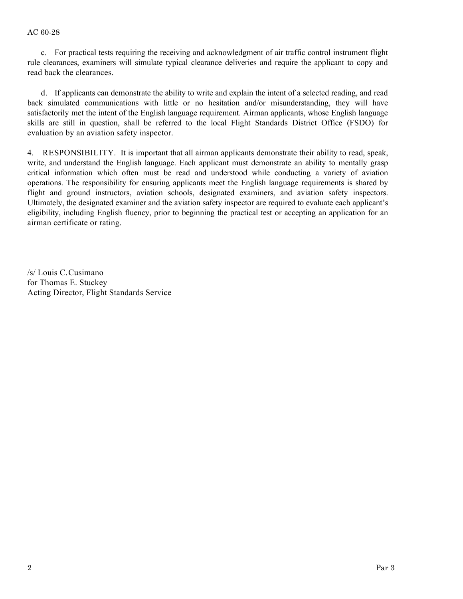**c.** For practical tests requiring the receiving and acknowledgment of air traffic control instrument flight rule clearances, examiners will simulate typical clearance deliveries and require the applicant to copy and read back the clearances.

**d.** If applicants can demonstrate the ability to write and explain the intent of a selected reading, and read back simulated communications with little or no hesitation and/or misunderstanding, they will have satisfactorily met the intent of the English language requirement. Airman applicants, whose English language skills are still in question, shall be referred to the local Flight Standards District Office (FSDO) for evaluation by an aviation safety inspector.

**4. RESPONSIBILITY.** It is important that all airman applicants demonstrate their ability to read, speak, write, and understand the English language. Each applicant must demonstrate an ability to mentally grasp critical information which often must be read and understood while conducting a variety of aviation operations. The responsibility for ensuring applicants meet the English language requirements is shared by flight and ground instructors, aviation schools, designated examiners, and aviation safety inspectors. Ultimately, the designated examiner and the aviation safety inspector are required to evaluate each applicant's eligibility, including English fluency, prior to beginning the practical test or accepting an application for an airman certificate or rating.

/s/ Louis C. Cusimano for Thomas E. Stuckey Acting Director, Flight Standards Service